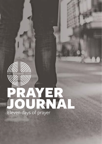

### Eleven days of prayer PRAYER JOURNAL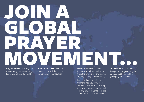# JOIN ZA GLOBAL PRAYER **OVEMBENT**

Pray for five of your family and friends and join a wave of prayer happening all over the world.

**WHAT CAN I DO?** Make sure you sign up to #pledge2pray at www.*thykingdomcome.global*

**PRAYER JOURNAL** Use this journal to sketch and scribble your thoughts, prayers and any answers as you go through the eleven days.

Each day there is a different theme to help you pray. There are new videos we will post daily to help you on your way so check our *Thy KIngdom Come* YouTube, Vimeo and social media channels.

**GET INVOLVED** Post your thoughts and prayers using the hashtags and be part of this global prayer movement.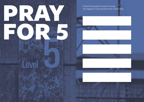

Choose five people to pray for during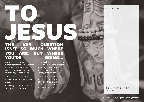*I follow you Jesus…*

### JESUS THE KEY QUESTION **ISN'T SO MUCH WHERE<br>YOU ARE, BUT WHERE** YOU ARE, BUT WHERE GOING ...

Are you close to Jesus today? Or feeling far from Him? Perhaps that doesn't matter so much to Him. Perhaps what really matters is which way you're heading.

TO

Are you walking, stumbling, trying to step through the mud toward Jesus?

Or when you think about it, are you slowly drifting away?

Come back to Him today. Turn around if you've been facing in the wrong direction; turn that walk into a run if you're already heading towards Him.

Now, pray for those friends whose lives would be utterly different if they joined you in running to Jesus, instead of wandering away from Him.

Pray for your five to follow Jesus too.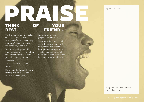*I praise you Jesus…*

# PRAISE<br>THINK OF

Think of that person who makes you smile. That person who, when you reflect on the comedy things you've done together, makes you laugh out loud.

You love spending time with them, because you love who they are and what they do. You find yourself talking about them to everyone.

Are you ever like that about Jesus?

Do you ever find yourself blown away by who He is, and by the fact that He's with you?

#### YOUR BEST FRIEND...

If not, maybe you've not really grasped quite who He is.

Today, try to list ten things which are worth praising Him for. They don't need to be big things, just the stuff that makes you smile. The stuff that you might tell others about, if you were telling them about your friend Jesus.

> Pray your five come to Praise Jesus themselves.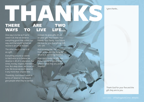*I give thanks…*

One way is to live as if we're owed it all, that we deserve everything good that comes our way, and that anything bad we receive is an unfair mistake.

The other way is to see it all as a gift.

Everything around us seems to hard-wire us to believe we deserve it. All of it: education, fun times, money, respect, friendship, love. But deep down, we know it's a lie. We know we don't deserve it any more than anyone else.

Thankfully, God doesn't work in terms of 'deserve'. He doesn't give people what they've earned.

### THERE ARE TWO WAS THERE ARE TWO WAYS TO LIVE LIFE…

Instead, He gives gifts. It's all an utter gift. Your health. Your friends. Your family. Your future. His love for you. Everything. Gift. Gift. Gift.

And knowing that, the response from us shouldn't be living like we deserve it, but being thankful.

How might today be different if you choose to see all these gifts for what they are, and be thankful?

> Thank God for your five and the gift they are to you.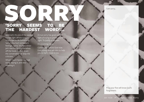*I am sorry…*

#### 'SORRY SEEMS TO BE THE HARDEST WORD'…

No it isn't. It's one of the easiest. It trips right off the tongue. You forget to do something: 'sorry'. You hurt someone's feelings: 'sorry'. It's like a kneejerk reaction to get ourselves off the hook, to shut down the conversation or stop the criticism.

 $SO$ 

What's much harder is a real sorry. Saying it, and also meaning it.

A true sorry has given up the fight of trying to prove you'r right. To justify or explain.

It's a coming clean.

Come clean before God now. Everything. And ask Him to help you to really mean it too.

> Pray your five will know God's forgiveness.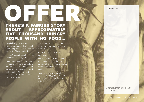*I offer to You…*

### OFFERE'S A FAMOUS STORY ABOUT APPROXIMATELY FIVE THOUSAND HUNGRY PEOPLE WITH NO FOOD…

The gig had gone late, and no-one had expected it. The only person to plan ahead was one lad with a bit of bread and fish.

In Jesus' hands, that's all that was needed to feed all 5,000.

Sometimes it can feel like there's so much need in the world. Five thousand, five million times more problems than we could possibly seek to solve. What on earth have we got to offer God, when we have so little?

The amount is never the issue. It's simply about our willingness to give it all.

And hold nothing back for ourselves.

All through history, the people who've seen God do the most. have simply given Him everything, even if they didn't have very much.

Today, whatever you have to give – your time, your skills, your money, your heart – offer it all to God.

> Offer prayer for your friends and family.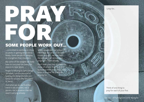*I pray for…*

# SOME PEOPLE WORK SOME PEOPLE WORK OUT…

PRAY &

…committed to working on those six packs or getting Beach Body Ready. Some people lift weights to strengthen their shoulders.

But some of the weights we really have to carry are too heavy for anyone to bear alone.

Prayer is refusing to carry things ourselves. It is the practice of loading the things that are too heavy for us onto the shoulders of Jesus.

And when we do, we find that there is not a burden, not a person, not a situation that He wasn't carrying already.

When we whisper our prayers for the things we carry - if we listen closely enough - we hear back the whisper that He has been praying for them already.

Don't bear your own burdens. Or those of others. Pray for them by loading them onto Jesus. And listen in to what He is already praying for.

> Think of one thing to pray for each of your five.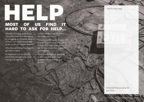*I ask for Your help…*

# NOST OF US FIND IT HARD TO ASK FOR HELP…

Whether it's being stuck on an impossible level of a video game, or struggling to complete a piece of work, our stubbornness and pride can be our biggest enemies. Who likes admitting they haven't got what it takes?

It's ludicrous, but we live with the lie that strength is found in having it all together.

God invites us to see the world the other way around.

To admit you're weak is to be strong. To come clean that you're broken, is actually to be whole. To ask for help shows how together you really are.

Jesus is here. Right by your side to help you. Put down your stubbornness and pride, and let Him.

> What will help you pray for your five?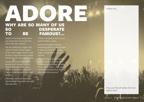*I adore You…*

### ADORE WHY ARE SO MANY OF US SO DESPERATE<br>TO BE FAMOUS?... BE FAMOUS?...

Maybe it's because really, we're just desperate to be loved. No, more than that: adored.

We see celebrities, singers and actors in front of their legions of fans and imagine what it must be like to have that many people obsessing over your every move.

Except of course, even those people don't live as if they're adored. Because deep down, even they don't trust that the love directed at them could ever be true.

Like them, we know ourselves, and we know that we're not really that adorable.

There's one person who truly is, and His name is Jesus.

And even though He knows everything about us, He chooses to adore us. Even though we might not deserve it, we truly are adored.

This is the thing we all hope for and it's true for us. How will it change your day today to really know – deep down – that you are loved and adored by the God who made the universe?

> Pray your five will realise that God adores them.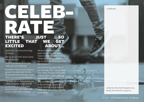*I celebrate…*

# $\blacksquare$ RATE

#### THERE'S JUST SO<br>LITTLE THAT WE GET THAT<br>LITTLE THAT<br>EXCITED ABOUT...

Apart from our favourite things of course.

But we are so 'meh' about nearly everything else.

So little impresses us. So little really stirs us to deep joy.

Because of this, we can bring our general boredom with life into how we see and think about God. We're a bit bored with faith too.

Our eyes are so distracted by the million everyday things around us, we never let it sink in: we know the God – the maker and holder of the whole universe.

We are loved and have been given life for ever. We have reason to live and light to live by. These are things to celebrate... but so often we almost give them the 'whatever'.

So in the boring, grey 'meh' of our everyday lives, look up today. Let's realise the awe and wonder of God, hiding in plain sight just beyond the 'meh.'

Why not take some time today to list the things you know about God that are so beyond 'whatever'? Surely they're worth celebrating…

Celebrate that God has given you family and friends to pray for…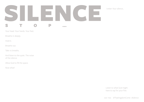## SILENCE STOP…

Your head. Your hands. Your feet.

Breathe in deeply.

Hold it.

Breathe out.

Take 10 breaths.

And listen to the quiet. The noise of the silence.

Allow God to fill the space.

Now what?

Listen to what God might have to say for your five.

*I enter Your silence…*

DAY TEN #ThyKingdomCome #silence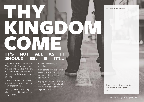*I do this in Your name…*

#### IT'S NOT ALL AS IT<br>SHOULD BE, IS IT?... SHOULD **BE**

Those friendships. That situation. That difficulty. Not to mention the pain and hardship in the lives of others around the world that you just can't bring yourself to imagine.

THY.

KING

**COW** 

And because all is not well with the state of the world – we pray: Thy Kingdom Come.

We pray: Jesus, please bring change, make things different as only You can.

But before we do - just one thing.

If you dare to pray this prayer, be ready that God will take you far more seriously than you take yourself.

Be prepared not just to look on as an observer, but to take a full part in His mission to see His Kingdom Come.

If you're up for it, keep praying that your five come to know Jesus.